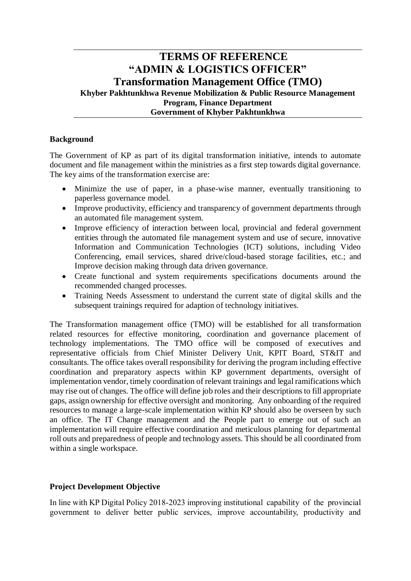# **TERMS OF REFERENCE "ADMIN & LOGISTICS OFFICER" Transformation Management Office (TMO) Khyber Pakhtunkhwa Revenue Mobilization & Public Resource Management Program, Finance Department Government of Khyber Pakhtunkhwa**

## **Background**

The Government of KP as part of its digital transformation initiative, intends to automate document and file management within the ministries as a first step towards digital governance. The key aims of the transformation exercise are:

- Minimize the use of paper, in a phase-wise manner, eventually transitioning to paperless governance model.
- Improve productivity, efficiency and transparency of government departments through an automated file management system.
- Improve efficiency of interaction between local, provincial and federal government entities through the automated file management system and use of secure, innovative Information and Communication Technologies (ICT) solutions, including Video Conferencing, email services, shared drive/cloud-based storage facilities, etc.; and Improve decision making through data driven governance.
- Create functional and system requirements specifications documents around the recommended changed processes.
- Training Needs Assessment to understand the current state of digital skills and the subsequent trainings required for adaption of technology initiatives.

The Transformation management office (TMO) will be established for all transformation related resources for effective monitoring, coordination and governance placement of technology implementations. The TMO office will be composed of executives and representative officials from Chief Minister Delivery Unit, KPIT Board, ST&IT and consultants. The office takes overall responsibility for deriving the program including effective coordination and preparatory aspects within KP government departments, oversight of implementation vendor, timely coordination of relevant trainings and legal ramifications which may rise out of changes. The office will define job roles and their descriptions to fill appropriate gaps, assign ownership for effective oversight and monitoring. Any onboarding of the required resources to manage a large-scale implementation within KP should also be overseen by such an office. The IT Change management and the People part to emerge out of such an implementation will require effective coordination and meticulous planning for departmental roll outs and preparedness of people and technology assets. This should be all coordinated from within a single workspace.

## **Project Development Objective**

In line with KP Digital Policy 2018-2023 improving institutional capability of the provincial government to deliver better public services, improve accountability, productivity and